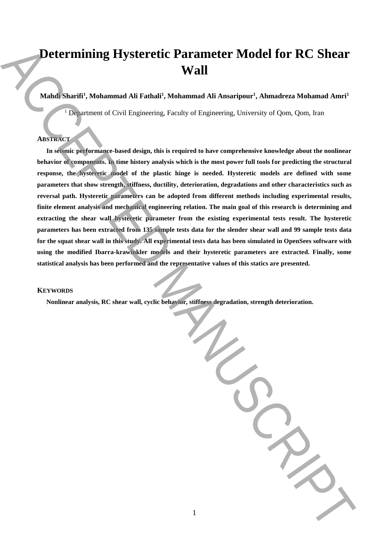# **Determining Hysteretic Parameter Model for RC Shear Wall**

## $\mathbf{M}$ ahdi Sharifi<sup>1</sup>, Mohammad Ali Fathali<sup>1</sup>, Mohammad Ali Ansaripour<sup>1</sup>, Ahmadreza Mohamad Amri<sup>1</sup>

<sup>1</sup> Department of Civil Engineering, Faculty of Engineering, University of Qom, Qom, Iran

# **ABSTRACT**

**In seismic performance-based design, this is required to have comprehensive knowledge about the nonlinear behavior of components. In time history analysis which is the most power full tools for predicting the structural response, the hysteretic model of the plastic hinge is needed. Hysteretic models are defined with some parameters that show strength, stiffness, ductility, deterioration, degradations and other characteristics such as reversal path. Hysteretic parameters can be adopted from different methods including experimental results, finite element analysis and mechanical engineering relation. The main goal of this research is determining and extracting the shear wall hysteretic parameter from the existing experimental tests result. The hysteretic parameters has been extracted from 135 sample tests data for the slender shear wall and 99 sample tests data for the squat shear wall in this study. All experimental tests data has been simulated in OpenSees software with using the modified Ibarra-krawinkler models and their hysteretic parameters are extracted. Finally, some statistical analysis has been performed and the representative values of this statics are presented. Nonlinear and Street Constraints** (Nonlinear and Street Constraint det Association) Accepted Accepted Accepted Accepted Accepted Accepted Accepted Accepted Accepted Accepted Accepted Accepted Accepted Accepted Accepted Ac

## **KEYWORDS**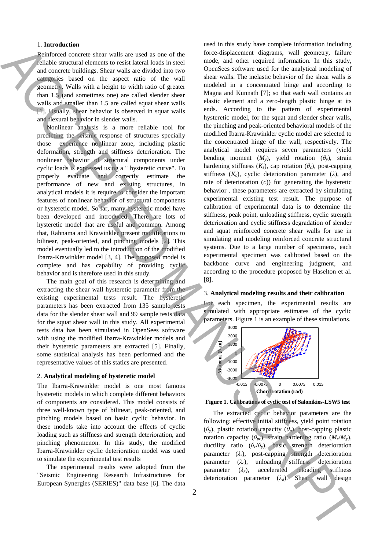#### 1. **Introduction**

Reinforced concrete shear walls are used as one of the reliable structural elements to resist lateral loads in steel and concrete buildings. Shear walls are divided into two categories based on the aspect ratio of the wall geometry. Walls with a height to width ratio of greater than 1.5 (and sometimes one) are called slender shear walls and smaller than 1.5 are called squat shear walls [1]. Usually, shear behavior is observed in squat walls and flexural behavior in slender walls.

Nonlinear analysis is a more reliable tool for predicting the seismic response of structures specially those experience nonlinear zone, including plastic deformation, strength and stiffness deterioration. The nonlinear behavior of structural components under cyclic loads is expressed using a " hysteretic curve". To properly evaluate and correctly estimate the performance of new and existing structures, in analytical models it is require to consider the important features of nonlinear behavior of structural components or hysteretic model. So far, many hysteretic model have been developed and introduced. There are lots of hysteretic model that are useful and common. Among that, Rahnama and Krawinkler present modifications to bilinear, peak-oriented, and pinching models [2]. This model eventually led to the introduction of the modified Ibarra-Krawinkler model [3, 4]. The proposed model is complete and has capability of providing cyclic behavior and is therefore used in this study.

The main goal of this research is determining and extracting the shear wall hysteretic parameter from the existing experimental tests result. The hysteretic parameters has been extracted from 135 sample tests data for the slender shear wall and 99 sample tests data for the squat shear wall in this study. All experimental tests data has been simulated in OpenSees software with using the modified Ibarra-Krawinkler models and their hysteretic parameters are extracted [5]. Finally, some statistical analysis has been performed and the representative values of this statics are presented.

### 2. **Analytical modeling of hysteretic model**

The Ibarra-Krawinkler model is one most famous hysteretic models in which complete different behaviors of components are considered. This model consists of three well-known type of bilinear, peak-oriented, and pinching models based on basic cyclic behavior. In these models take into account the effects of cyclic loading such as stiffness and strength deterioration, and pinching phenomenon. In this study, the modified Ibarra-Krawinkler cyclic deterioration model was used to simulate the experimental test results

The experimental results were adopted from the "Seismic Engineering Research Infrastructures for European Synergies (SERIES)" data base [6]. The data

used in this study have complete information including force-displacement diagrams, wall geometry, failure mode, and other required information. In this study, OpenSees software used for the analytical modeling of shear walls. The inelastic behavior of the shear walls is modeled in a concentrated hinge and according to Magna and Kunnath [7]; so that each wall contains an elastic element and a zero-length plastic hinge at its ends. According to the pattern of experimental hysteretic model, for the squat and slender shear walls, the pinching and peak-oriented behavioral models of the modified Ibarra-Krawinkler cyclic model are selected to the concentrated hinge of the wall, respectively. The analytical model requires seven parameters (yield bending moment  $(M_y)$ , yield rotation  $(\theta_y)$ , strain hardening stiffness  $(K_s)$ , cap rotation  $(\theta_c)$ , post-capping stiffness  $(K_c)$ , cyclic deterioration parameter  $(\lambda)$ , and rate of deterioration (*c*)) for generating the hysteretic behavior . these parameters are extracted by simulating experimental existing test result. The purpose of calibration of experimental data is to determine the stiffness, peak point, unloading stiffness, cyclic strength deterioration and cyclic stiffness degradation of slender and squat reinforced concrete shear walls for use in simulating and modeling reinforced concrete structural systems. Due to a large number of specimens, each experimental specimen was calibrated based on the backbone curve and engineering judgment, and according to the procedure proposed by Haselton et al. [8]. **Chord control in the state of the state of the state of the state of the state of the state of the state of the state of the state of the state of the state of the state of the state of the state of the state of the stat** 

#### 3. **Analytical modeling results and their calibration**

For each specimen, the experimental results are simulated with appropriate estimates of the cyclic parameters. Figure 1 is an example of these simulations.





The extracted cyclic behavior parameters are the following: effective initial stiffness, yield point rotation (*θy*), plastic rotation capacity (*θp*), post-capping plastic rotation capacity ( $\theta_{pc}$ ), strain hardening ratio ( $M_c/M_v$ ), ductility ratio  $(\theta_c/\theta_y)$ , basic strength deterioration parameter  $(\lambda_s)$ , post-capping strength deterioration parameter (*λc*), unloading stiffness deterioration parameter  $(\lambda_k)$ , accelerated reloading stiffness deterioration parameter  $(\lambda_a)$ . Shear wall design